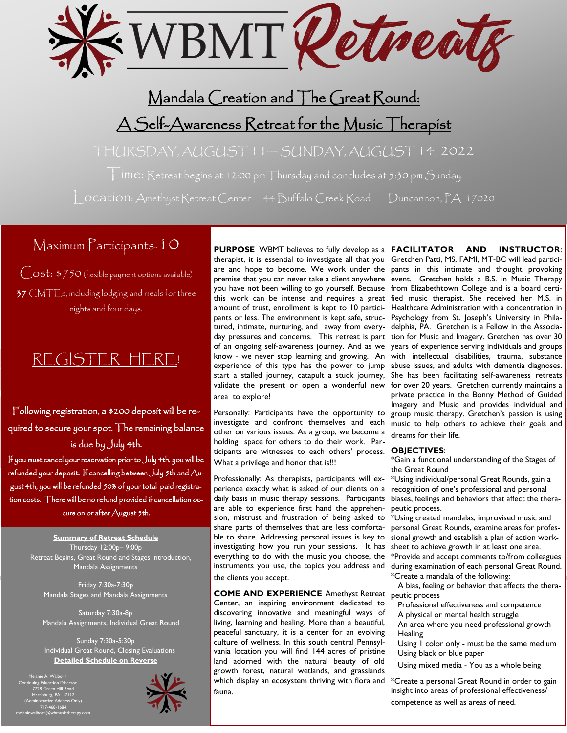

## Mandala Creation and The Great Round:

# A Self-Awareness Retreat for the Music Therapist

THURSDAY, AUGUST 11— SUNDAY, AUGUST 14, 2022

Time: Retreat begins at 12:00 pm Thursday and concludes at 5:30 pm Sunday

Location: Amethyst Retreat Center 44 Buffalo Creek Road Duncannon, PA 17020

## Maximum Participants-10

Cost: \$750 (flexible payment options available)  $37$  CMTE<sub>s</sub>, including lodging and meals for three nights and four days.

# [REGISTER HERE!](https://forms.gle/4dU9usM5Cd8bGqA48)

Following registration, a \$200 deposit will be required to secure your spot. The remaining balance is due by July 4th.

If you must cancel your reservation prior to July 4th, you will be refunded your deposit. If cancelling between July 5th and August 4th, you will be refunded 50% of your total paid registration costs. There will be no refund provided if cancellation occurs on or after August 5th.

**Summary of Retreat Schedule** Thursday 12:00p– 9:00p Retreat Begins, Great Round and Stages Introduction, Mandala Assignments

> Friday 7:30a-7:30p Mandala Stages and Mandala Assignments

Saturday 7:30a-8p Mandala Assignments, Individual Great Round

Sunday 7:30a-5:30p Individual Great Round, Closing Evaluations **Detailed Schedule on Reverse**

Melanie A. Walborn Continuing Education Director 7728 Green Hill Road Harrisburg, PA 17112 (Administrative Address Only) 717-468-1684 melaniewalborn@wbmusictherapy.com



**PURPOSE** WBMT believes to fully develop as a **FACILITATOR AND INSTRUCTOR**: therapist, it is essential to investigate all that you Gretchen Patti, MS, FAMI, MT-BC will lead particiare and hope to become. We work under the pants in this intimate and thought provoking premise that you can never take a client anywhere event. Gretchen holds a B.S. in Music Therapy you have not been willing to go yourself. Because from Elizabethtown College and is a board certithis work can be intense and requires a great fied music therapist. She received her M.S. in amount of trust, enrollment is kept to 10 partici-Healthcare Administration with a concentration in pants or less. The environment is kept safe, struc-Psychology from St. Joseph's University in Philatured, intimate, nurturing, and away from every-delphia, PA. Gretchen is a Fellow in the Associaday pressures and concerns. This retreat is part tion for Music and Imagery. Gretchen has over 30 of an ongoing self-awareness journey. And as we years of experience serving individuals and groups know - we never stop learning and growing. An with intellectual disabilities, trauma, substance experience of this type has the power to jump abuse issues, and adults with dementia diagnoses. start a stalled journey, catapult a stuck journey, validate the present or open a wonderful new for over 20 years. Gretchen currently maintains a area to explore!

Personally: Participants have the opportunity to other on various issues. As a group, we become a holding space for others to do their work. Participants are witnesses to each others' process. **OBJECTIVES**: What a privilege and honor that is!!!

Professionally: As therapists, participants will experience exactly what is asked of our clients on a daily basis in music therapy sessions. Participants are able to experience first hand the apprehension, mistrust and frustration of being asked to share parts of themselves that are less comfortable to share. Addressing personal issues is key to investigating how you run your sessions. It has everything to do with the music you choose, the instruments you use, the topics you address and the clients you accept.

**COME AND EXPERIENCE** Amethyst Retreat Center, an inspiring environment dedicated to discovering innovative and meaningful ways of living, learning and healing. More than a beautiful, peaceful sanctuary, it is a center for an evolving culture of wellness. In this south central Pennsylvania location you will find 144 acres of pristine land adorned with the natural beauty of old growth forest, natural wetlands, and grasslands which display an ecosystem thriving with flora and fauna.

investigate and confront themselves and each music to help others to achieve their goals and She has been facilitating self-awareness retreats private practice in the Bonny Method of Guided Imagery and Music and provides individual and group music therapy. Gretchen's passion is using dreams for their life.

\*Gain a functional understanding of the Stages of the Great Round

\*Using individual/personal Great Rounds, gain a recognition of one's professional and personal biases, feelings and behaviors that affect the therapeutic process.

\*Using created mandalas, improvised music and personal Great Rounds, examine areas for professional growth and establish a plan of action worksheet to achieve growth in at least one area. \*Provide and accept comments to/from colleagues during examination of each personal Great Round. \*Create a mandala of the following:

 A bias, feeling or behavior that affects the therapeutic process

- Professional effectiveness and competence
- A physical or mental health struggle
- An area where you need professional growth Healing
- Using  $\overline{I}$  color only must be the same medium Using black or blue paper

Using mixed media - You as a whole being

\*Create a personal Great Round in order to gain insight into areas of professional effectiveness/ competence as well as areas of need.